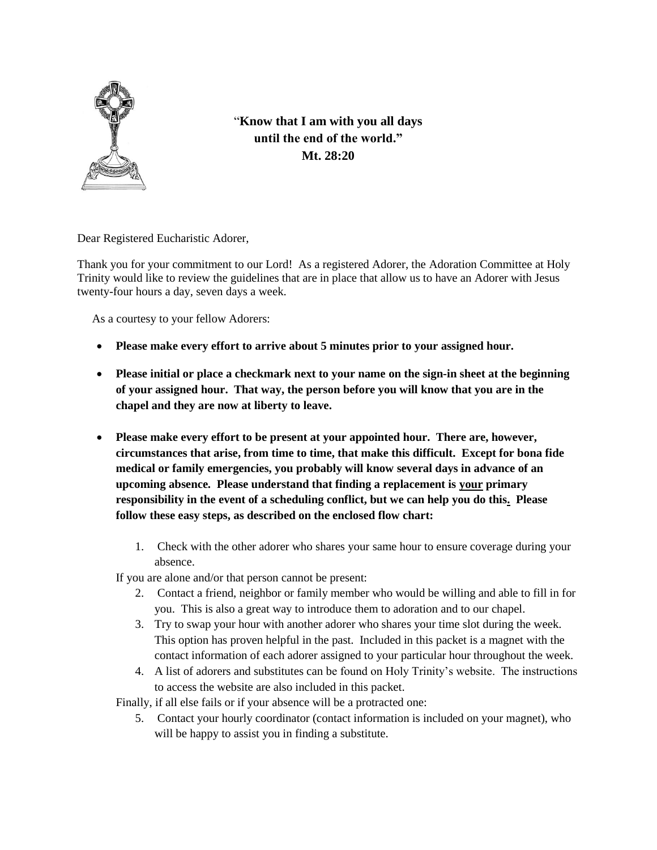

"**Know that I am with you all days until the end of the world." Mt. 28:20**

Dear Registered Eucharistic Adorer,

Thank you for your commitment to our Lord! As a registered Adorer, the Adoration Committee at Holy Trinity would like to review the guidelines that are in place that allow us to have an Adorer with Jesus twenty-four hours a day, seven days a week.

As a courtesy to your fellow Adorers:

- **Please make every effort to arrive about 5 minutes prior to your assigned hour.**
- **Please initial or place a checkmark next to your name on the sign-in sheet at the beginning of your assigned hour. That way, the person before you will know that you are in the chapel and they are now at liberty to leave.**
- **Please make every effort to be present at your appointed hour. There are, however, circumstances that arise, from time to time, that make this difficult. Except for bona fide medical or family emergencies, you probably will know several days in advance of an upcoming absence***.* **Please understand that finding a replacement is your primary responsibility in the event of a scheduling conflict, but we can help you do this. Please follow these easy steps, as described on the enclosed flow chart:**
	- 1. Check with the other adorer who shares your same hour to ensure coverage during your absence.

If you are alone and/or that person cannot be present:

- 2. Contact a friend, neighbor or family member who would be willing and able to fill in for you. This is also a great way to introduce them to adoration and to our chapel.
- 3. Try to swap your hour with another adorer who shares your time slot during the week. This option has proven helpful in the past. Included in this packet is a magnet with the contact information of each adorer assigned to your particular hour throughout the week.
- 4. A list of adorers and substitutes can be found on Holy Trinity's website. The instructions to access the website are also included in this packet.

Finally, if all else fails or if your absence will be a protracted one:

5. Contact your hourly coordinator (contact information is included on your magnet), who will be happy to assist you in finding a substitute.